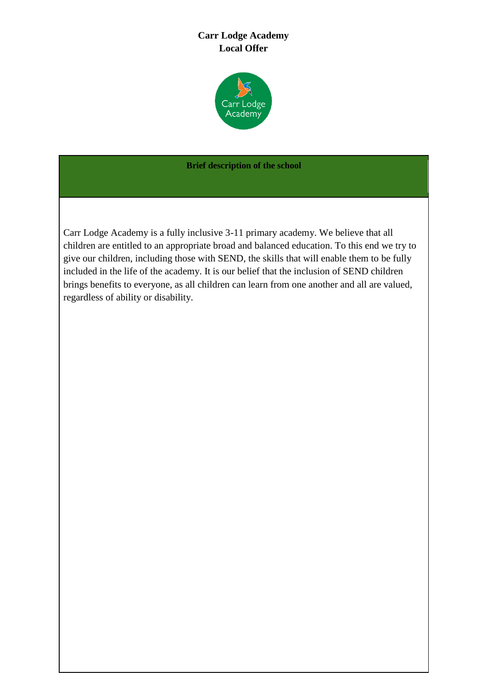# **Carr Lodge Academy Local Offer**



#### **Brief description of the school**

Carr Lodge Academy is a fully inclusive 3-11 primary academy. We believe that all children are entitled to an appropriate broad and balanced education. To this end we try to give our children, including those with SEND, the skills that will enable them to be fully included in the life of the academy. It is our belief that the inclusion of SEND children brings benefits to everyone, as all children can learn from one another and all are valued, regardless of ability or disability.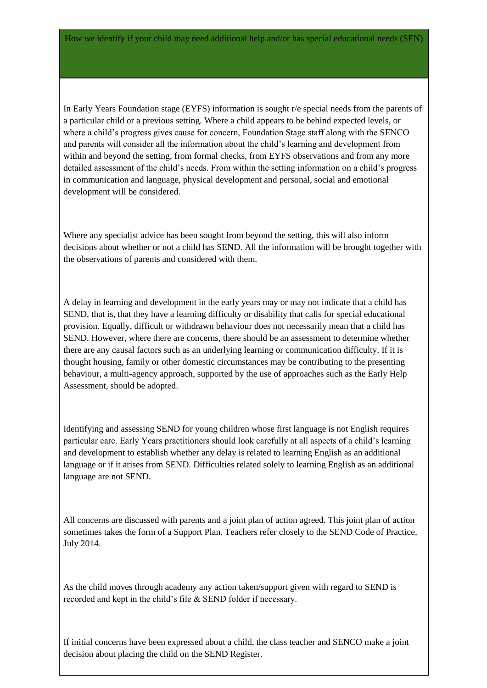In Early Years Foundation stage (EYFS) information is sought r/e special needs from the parents of a particular child or a previous setting. Where a child appears to be behind expected levels, or where a child's progress gives cause for concern, Foundation Stage staff along with the SENCO and parents will consider all the information about the child's learning and development from within and beyond the setting, from formal checks, from EYFS observations and from any more detailed assessment of the child's needs. From within the setting information on a child's progress in communication and language, physical development and personal, social and emotional development will be considered.

Where any specialist advice has been sought from beyond the setting, this will also inform decisions about whether or not a child has SEND. All the information will be brought together with the observations of parents and considered with them.

A delay in learning and development in the early years may or may not indicate that a child has SEND, that is, that they have a learning difficulty or disability that calls for special educational provision. Equally, difficult or withdrawn behaviour does not necessarily mean that a child has SEND. However, where there are concerns, there should be an assessment to determine whether there are any causal factors such as an underlying learning or communication difficulty. If it is thought housing, family or other domestic circumstances may be contributing to the presenting behaviour, a multi-agency approach, supported by the use of approaches such as the Early Help Assessment, should be adopted.

Identifying and assessing SEND for young children whose first language is not English requires particular care. Early Years practitioners should look carefully at all aspects of a child's learning and development to establish whether any delay is related to learning English as an additional language or if it arises from SEND. Difficulties related solely to learning English as an additional language are not SEND.

All concerns are discussed with parents and a joint plan of action agreed. This joint plan of action sometimes takes the form of a Support Plan. Teachers refer closely to the SEND Code of Practice, July 2014.

As the child moves through academy any action taken/support given with regard to SEND is recorded and kept in the child's file & SEND folder if necessary.

If initial concerns have been expressed about a child, the class teacher and SENCO make a joint decision about placing the child on the SEND Register.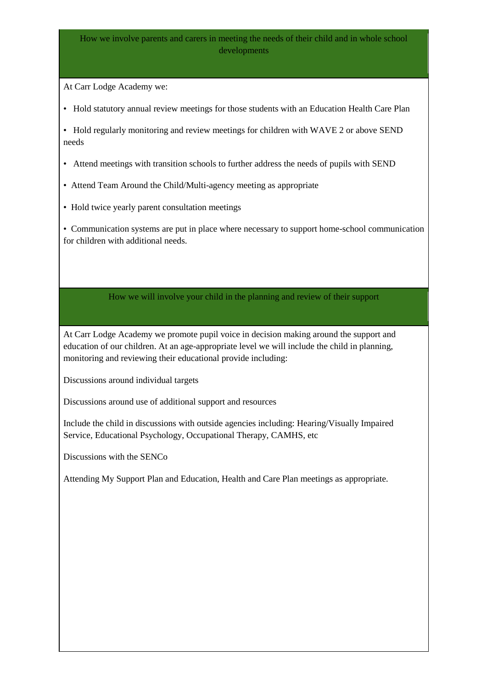## How we involve parents and carers in meeting the needs of their child and in whole school developments

At Carr Lodge Academy we:

• Hold statutory annual review meetings for those students with an Education Health Care Plan

• Hold regularly monitoring and review meetings for children with WAVE 2 or above SEND needs

- Attend meetings with transition schools to further address the needs of pupils with SEND
- Attend Team Around the Child/Multi-agency meeting as appropriate
- Hold twice yearly parent consultation meetings

• Communication systems are put in place where necessary to support home-school communication for children with additional needs.

## How we will involve your child in the planning and review of their support

At Carr Lodge Academy we promote pupil voice in decision making around the support and education of our children. At an age-appropriate level we will include the child in planning, monitoring and reviewing their educational provide including:

Discussions around individual targets

Discussions around use of additional support and resources

Include the child in discussions with outside agencies including: Hearing/Visually Impaired Service, Educational Psychology, Occupational Therapy, CAMHS, etc

Discussions with the SENCo

Attending My Support Plan and Education, Health and Care Plan meetings as appropriate.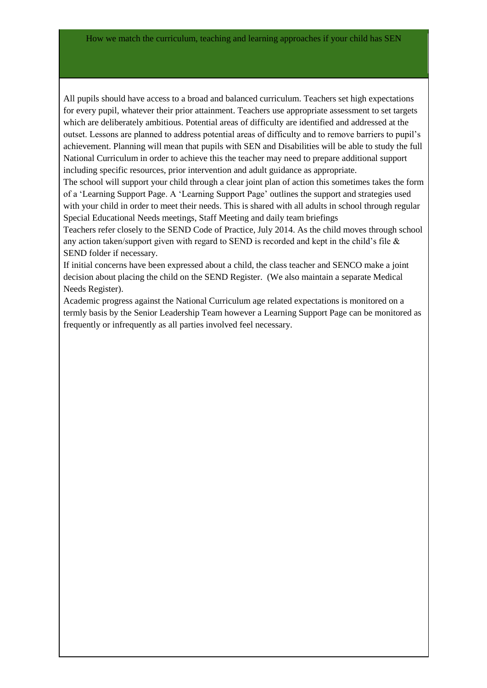All pupils should have access to a broad and balanced curriculum. Teachers set high expectations for every pupil, whatever their prior attainment. Teachers use appropriate assessment to set targets which are deliberately ambitious. Potential areas of difficulty are identified and addressed at the outset. Lessons are planned to address potential areas of difficulty and to remove barriers to pupil's achievement. Planning will mean that pupils with SEN and Disabilities will be able to study the full National Curriculum in order to achieve this the teacher may need to prepare additional support including specific resources, prior intervention and adult guidance as appropriate.

The school will support your child through a clear joint plan of action this sometimes takes the form of a 'Learning Support Page. A 'Learning Support Page' outlines the support and strategies used with your child in order to meet their needs. This is shared with all adults in school through regular Special Educational Needs meetings, Staff Meeting and daily team briefings

Teachers refer closely to the SEND Code of Practice, July 2014. As the child moves through school any action taken/support given with regard to SEND is recorded and kept in the child's file  $\&$ SEND folder if necessary.

If initial concerns have been expressed about a child, the class teacher and SENCO make a joint decision about placing the child on the SEND Register. (We also maintain a separate Medical Needs Register).

Academic progress against the National Curriculum age related expectations is monitored on a termly basis by the Senior Leadership Team however a Learning Support Page can be monitored as frequently or infrequently as all parties involved feel necessary.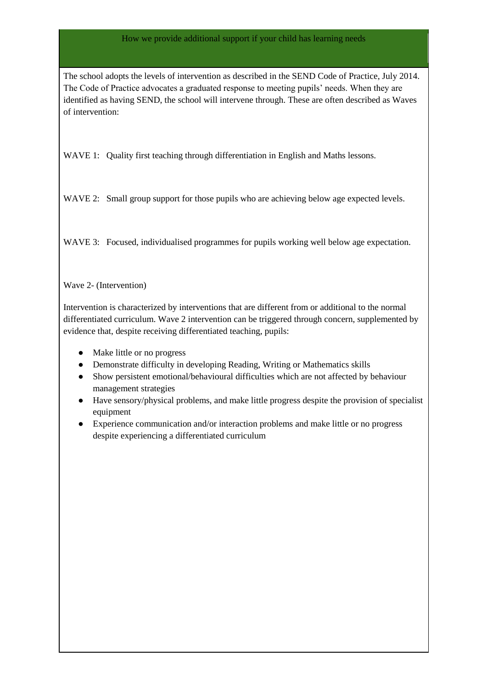#### How we provide additional support if your child has learning needs

The school adopts the levels of intervention as described in the SEND Code of Practice, July 2014. The Code of Practice advocates a graduated response to meeting pupils' needs. When they are identified as having SEND, the school will intervene through. These are often described as Waves of intervention:

WAVE 1: Quality first teaching through differentiation in English and Maths lessons.

WAVE 2: Small group support for those pupils who are achieving below age expected levels.

WAVE 3: Focused, individualised programmes for pupils working well below age expectation.

Wave 2- (Intervention)

Intervention is characterized by interventions that are different from or additional to the normal differentiated curriculum. Wave 2 intervention can be triggered through concern, supplemented by evidence that, despite receiving differentiated teaching, pupils:

- Make little or no progress
- Demonstrate difficulty in developing Reading, Writing or Mathematics skills
- Show persistent emotional/behavioural difficulties which are not affected by behaviour management strategies
- Have sensory/physical problems, and make little progress despite the provision of specialist equipment
- Experience communication and/or interaction problems and make little or no progress despite experiencing a differentiated curriculum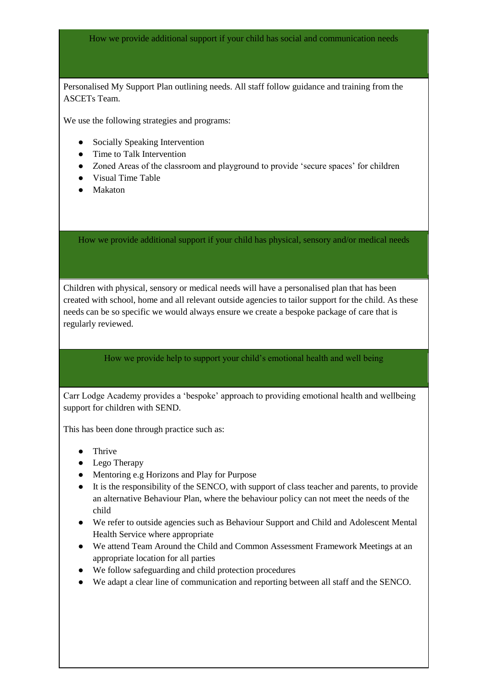How we provide additional support if your child has social and communication needs

Personalised My Support Plan outlining needs. All staff follow guidance and training from the ASCETs Team.

We use the following strategies and programs:

- Socially Speaking Intervention
- Time to Talk Intervention
- Zoned Areas of the classroom and playground to provide 'secure spaces' for children
- Visual Time Table
- Makaton

How we provide additional support if your child has physical, sensory and/or medical needs

Children with physical, sensory or medical needs will have a personalised plan that has been created with school, home and all relevant outside agencies to tailor support for the child. As these needs can be so specific we would always ensure we create a bespoke package of care that is regularly reviewed.

### How we provide help to support your child's emotional health and well being

Carr Lodge Academy provides a 'bespoke' approach to providing emotional health and wellbeing support for children with SEND.

This has been done through practice such as:

- Thrive
- Lego Therapy
- Mentoring e.g Horizons and Play for Purpose
- It is the responsibility of the SENCO, with support of class teacher and parents, to provide an alternative Behaviour Plan, where the behaviour policy can not meet the needs of the child
- We refer to outside agencies such as Behaviour Support and Child and Adolescent Mental Health Service where appropriate
- We attend Team Around the Child and Common Assessment Framework Meetings at an appropriate location for all parties
- We follow safeguarding and child protection procedures
- We adapt a clear line of communication and reporting between all staff and the SENCO.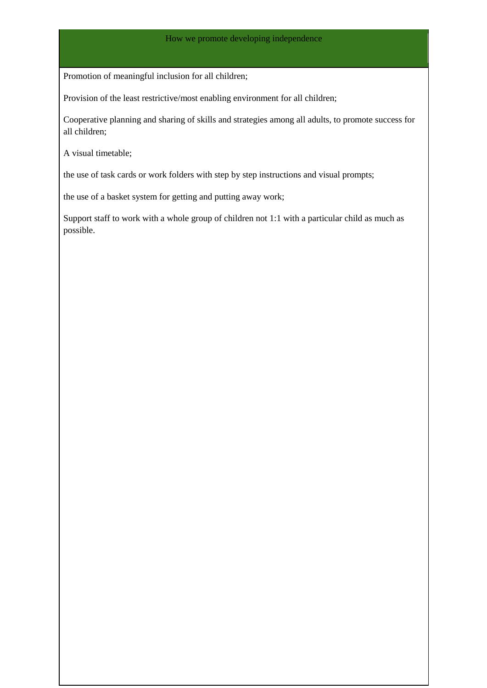Promotion of meaningful inclusion for all children;

Provision of the least restrictive/most enabling environment for all children;

Cooperative planning and sharing of skills and strategies among all adults, to promote success for all children;

A visual timetable;

the use of task cards or work folders with step by step instructions and visual prompts;

the use of a basket system for getting and putting away work;

Support staff to work with a whole group of children not 1:1 with a particular child as much as possible.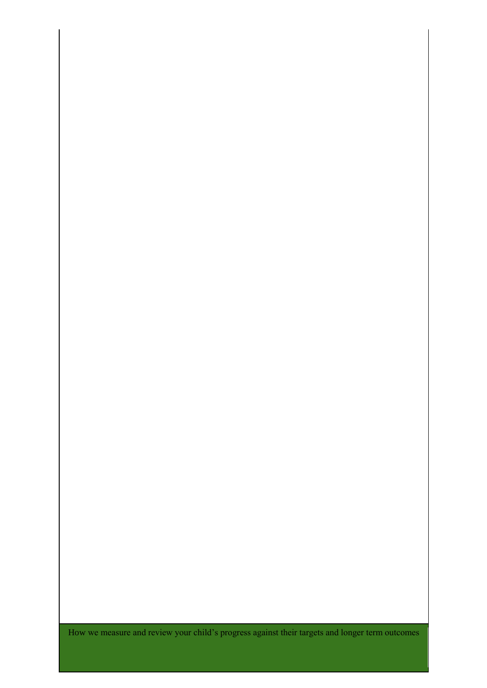How we measure and review your child's progress against their targets and longer term outcomes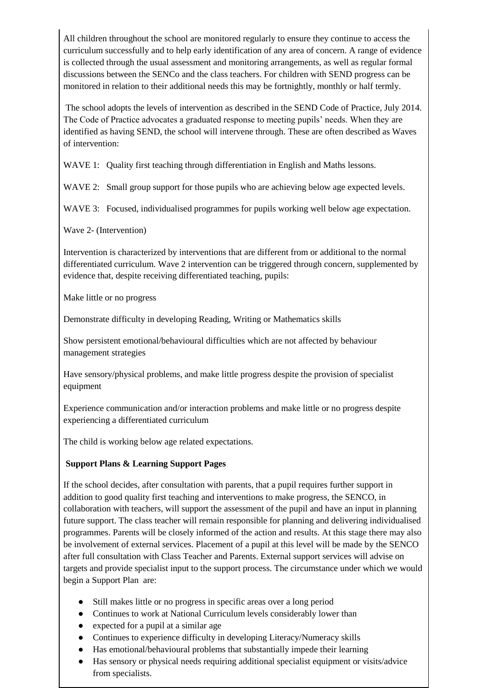All children throughout the school are monitored regularly to ensure they continue to access the curriculum successfully and to help early identification of any area of concern. A range of evidence is collected through the usual assessment and monitoring arrangements, as well as regular formal discussions between the SENCo and the class teachers. For children with SEND progress can be monitored in relation to their additional needs this may be fortnightly, monthly or half termly.

The school adopts the levels of intervention as described in the SEND Code of Practice, July 2014. The Code of Practice advocates a graduated response to meeting pupils' needs. When they are identified as having SEND, the school will intervene through. These are often described as Waves of intervention:

WAVE 1: Quality first teaching through differentiation in English and Maths lessons.

WAVE 2: Small group support for those pupils who are achieving below age expected levels.

WAVE 3: Focused, individualised programmes for pupils working well below age expectation.

Wave 2- (Intervention)

Intervention is characterized by interventions that are different from or additional to the normal differentiated curriculum. Wave 2 intervention can be triggered through concern, supplemented by evidence that, despite receiving differentiated teaching, pupils:

Make little or no progress

Demonstrate difficulty in developing Reading, Writing or Mathematics skills

Show persistent emotional/behavioural difficulties which are not affected by behaviour management strategies

Have sensory/physical problems, and make little progress despite the provision of specialist equipment

Experience communication and/or interaction problems and make little or no progress despite experiencing a differentiated curriculum

The child is working below age related expectations.

## **Support Plans & Learning Support Pages**

If the school decides, after consultation with parents, that a pupil requires further support in addition to good quality first teaching and interventions to make progress, the SENCO, in collaboration with teachers, will support the assessment of the pupil and have an input in planning future support. The class teacher will remain responsible for planning and delivering individualised programmes. Parents will be closely informed of the action and results. At this stage there may also be involvement of external services. Placement of a pupil at this level will be made by the SENCO after full consultation with Class Teacher and Parents. External support services will advise on targets and provide specialist input to the support process. The circumstance under which we would begin a Support Plan are:

- Still makes little or no progress in specific areas over a long period
- Continues to work at National Curriculum levels considerably lower than
- expected for a pupil at a similar age
- Continues to experience difficulty in developing Literacy/Numeracy skills
- Has emotional/behavioural problems that substantially impede their learning
- Has sensory or physical needs requiring additional specialist equipment or visits/advice from specialists.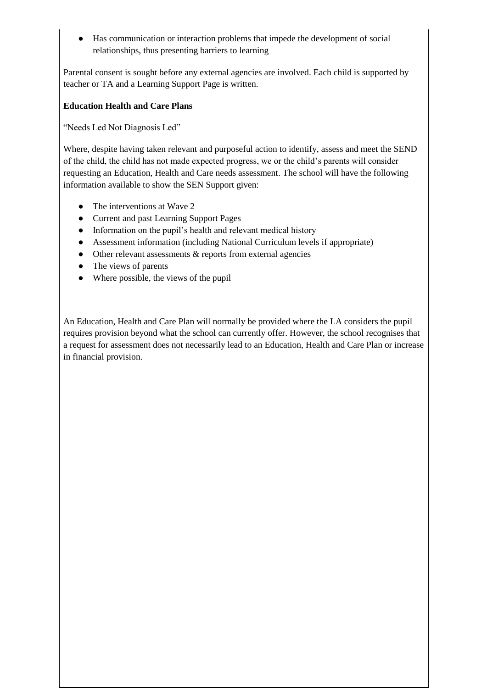● Has communication or interaction problems that impede the development of social relationships, thus presenting barriers to learning

Parental consent is sought before any external agencies are involved. Each child is supported by teacher or TA and a Learning Support Page is written.

### **Education Health and Care Plans**

"Needs Led Not Diagnosis Led"

Where, despite having taken relevant and purposeful action to identify, assess and meet the SEND of the child, the child has not made expected progress, we or the child's parents will consider requesting an Education, Health and Care needs assessment. The school will have the following information available to show the SEN Support given:

- The interventions at Wave 2
- Current and past Learning Support Pages
- Information on the pupil's health and relevant medical history
- Assessment information (including National Curriculum levels if appropriate)
- Other relevant assessments & reports from external agencies
- The views of parents
- Where possible, the views of the pupil

An Education, Health and Care Plan will normally be provided where the LA considers the pupil requires provision beyond what the school can currently offer. However, the school recognises that a request for assessment does not necessarily lead to an Education, Health and Care Plan or increase in financial provision.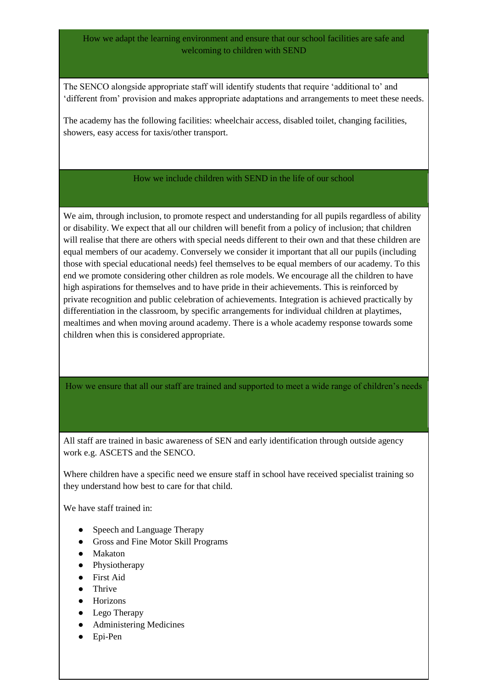### How we adapt the learning environment and ensure that our school facilities are safe and welcoming to children with SEND

The SENCO alongside appropriate staff will identify students that require 'additional to' and 'different from' provision and makes appropriate adaptations and arrangements to meet these needs.

The academy has the following facilities: wheelchair access, disabled toilet, changing facilities, showers, easy access for taxis/other transport.

### How we include children with SEND in the life of our school

We aim, through inclusion, to promote respect and understanding for all pupils regardless of ability or disability. We expect that all our children will benefit from a policy of inclusion; that children will realise that there are others with special needs different to their own and that these children are equal members of our academy. Conversely we consider it important that all our pupils (including those with special educational needs) feel themselves to be equal members of our academy. To this end we promote considering other children as role models. We encourage all the children to have high aspirations for themselves and to have pride in their achievements. This is reinforced by private recognition and public celebration of achievements. Integration is achieved practically by differentiation in the classroom, by specific arrangements for individual children at playtimes, mealtimes and when moving around academy. There is a whole academy response towards some children when this is considered appropriate.

How we ensure that all our staff are trained and supported to meet a wide range of children's needs

All staff are trained in basic awareness of SEN and early identification through outside agency work e.g. ASCETS and the SENCO.

Where children have a specific need we ensure staff in school have received specialist training so they understand how best to care for that child.

We have staff trained in:

- Speech and Language Therapy
- Gross and Fine Motor Skill Programs
- Makaton
- Physiotherapy
- First Aid
- Thrive
- Horizons
- Lego Therapy
- Administering Medicines
- Epi-Pen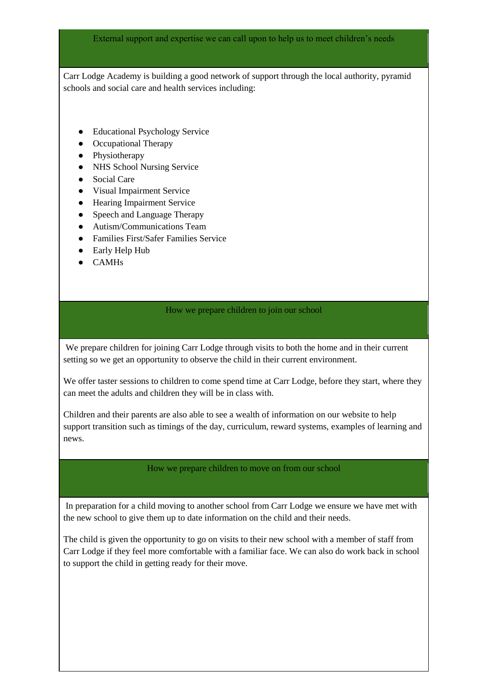External support and expertise we can call upon to help us to meet children's needs

Carr Lodge Academy is building a good network of support through the local authority, pyramid schools and social care and health services including:

- Educational Psychology Service
- Occupational Therapy
- Physiotherapy
- NHS School Nursing Service
- Social Care
- Visual Impairment Service
- Hearing Impairment Service
- Speech and Language Therapy
- Autism/Communications Team
- Families First/Safer Families Service
- Early Help Hub
- CAMHs

#### How we prepare children to join our school

We prepare children for joining Carr Lodge through visits to both the home and in their current setting so we get an opportunity to observe the child in their current environment.

We offer taster sessions to children to come spend time at Carr Lodge, before they start, where they can meet the adults and children they will be in class with.

Children and their parents are also able to see a wealth of information on our website to help support transition such as timings of the day, curriculum, reward systems, examples of learning and news.

#### How we prepare children to move on from our school

In preparation for a child moving to another school from Carr Lodge we ensure we have met with the new school to give them up to date information on the child and their needs.

The child is given the opportunity to go on visits to their new school with a member of staff from Carr Lodge if they feel more comfortable with a familiar face. We can also do work back in school to support the child in getting ready for their move.